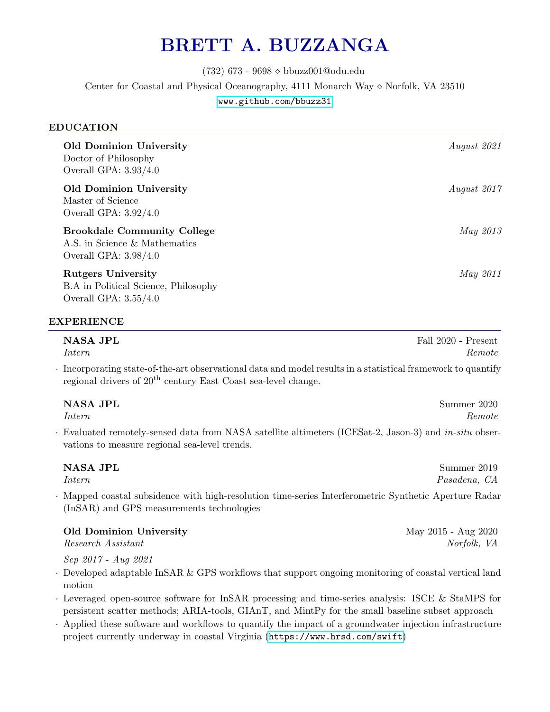# BRETT A. BUZZANGA

(732) 673 - 9698 bbuzz001@odu.edu Center for Coastal and Physical Oceanography, 4111 Monarch Way  $\diamond$  Norfolk, VA 23510 <www.github.com/bbuzz31>

# EDUCATION

| <b>Old Dominion University</b><br>Doctor of Philosophy<br>Overall GPA: $3.93/4.0$                   | August 2021     |
|-----------------------------------------------------------------------------------------------------|-----------------|
| <b>Old Dominion University</b><br>Master of Science<br>Overall GPA: $3.92/4.0$                      | August 2017     |
| <b>Brookdale Community College</b><br>A.S. in Science & Mathematics<br>Overall GPA: $3.98/4.0$      | <i>May 2013</i> |
| <b>Rutgers University</b><br><b>B.A</b> in Political Science, Philosophy<br>Overall GPA: $3.55/4.0$ | <i>May 2011</i> |

# EXPERIENCE

| NASA JPL                                                                                                           | Fall 2020 - Present |
|--------------------------------------------------------------------------------------------------------------------|---------------------|
| <i>Intern</i>                                                                                                      | Remote              |
| $\cdot$ Incorporating state-of-the-art observational data and model results in a statistical framework to quantify |                     |

Incorporating state-of-the-art observational data and model results in a statistical framework to quantify regional drivers of  $20<sup>th</sup>$  century East Coast sea-level change.

| NASA JPL                                                                                               | Summer 2020 |
|--------------------------------------------------------------------------------------------------------|-------------|
| <i>Intern</i>                                                                                          | Remote      |
| Evaluated remotely-sensed data from NASA satellite altimeters (ICESat-2, Jason-3) and $in-situ$ obser- |             |

vations to measure regional sea-level trends.

| NASA JPL                                                                                            | Summer 2019  |
|-----------------------------------------------------------------------------------------------------|--------------|
| Intern                                                                                              | Pasadena, CA |
| Mapped coastal subsidence with high-resolution time-series Interferometric Synthetic Aperture Radar |              |
| (InSAR) and GPS measurements technologies                                                           |              |

| Old Dominion University | May 2015 - Aug 2020 |
|-------------------------|---------------------|
| Research Assistant      | Norfolk, VA         |

Sep 2017 - Aug 2021

- · Developed adaptable InSAR & GPS workflows that support ongoing monitoring of coastal vertical land motion
- · Leveraged open-source software for InSAR processing and time-series analysis: ISCE & StaMPS for persistent scatter methods; ARIA-tools, GIAnT, and MintPy for the small baseline subset approach
- · Applied these software and workflows to quantify the impact of a groundwater injection infrastructure project currently underway in coastal Virginia (<https://www.hrsd.com/swift>)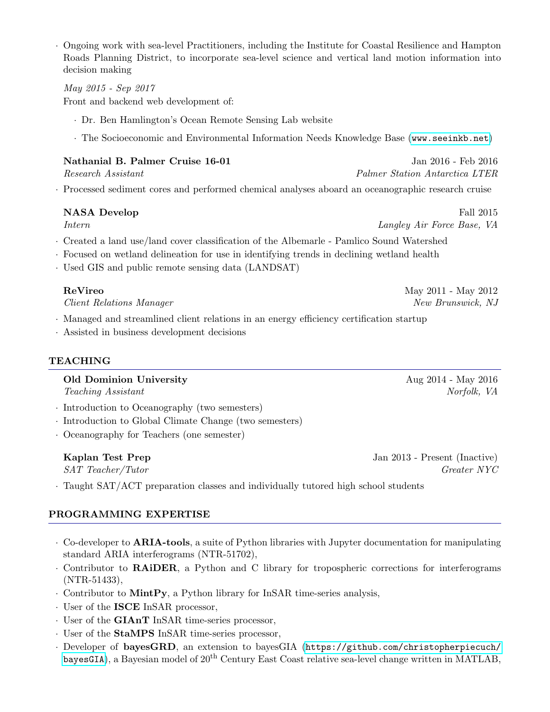· Ongoing work with sea-level Practitioners, including the Institute for Coastal Resilience and Hampton Roads Planning District, to incorporate sea-level science and vertical land motion information into decision making

## May 2015 - Sep 2017

Front and backend web development of:

- · Dr. Ben Hamlington's Ocean Remote Sensing Lab website
- · The Socioeconomic and Environmental Information Needs Knowledge Base (<www.seeinkb.net>)

| Nathanial B. Palmer Cruise 16-01 | Jan 2016 - Feb 2016            |
|----------------------------------|--------------------------------|
| Research Assistant               | Palmer Station Antarctica LTER |

· Processed sediment cores and performed chemical analyses aboard an oceanographic research cruise

### NASA Develop Fall 2015

Intern Langley Air Force Base, VA

- · Created a land use/land cover classification of the Albemarle Pamlico Sound Watershed
- · Focused on wetland delineation for use in identifying trends in declining wetland health
- · Used GIS and public remote sensing data (LANDSAT)

### ReVireo May 2011 - May 2012

*Client Relations Manager* New Brunswick, NJ

- · Managed and streamlined client relations in an energy efficiency certification startup
- · Assisted in business development decisions

### TEACHING

# Old Dominion University **Aug 2014 - May 2016**

Teaching Assistant Norfolk, VA

- · Introduction to Oceanography (two semesters)
- · Introduction to Global Climate Change (two semesters)
- · Oceanography for Teachers (one semester)

Kaplan Test Prep Jan 2013 - Present (Inactive) SAT Teacher/Tutor Greater NYC

· Taught SAT/ACT preparation classes and individually tutored high school students

## PROGRAMMING EXPERTISE

- · Co-developer to ARIA-tools, a suite of Python libraries with Jupyter documentation for manipulating standard ARIA interferograms (NTR-51702),
- · Contributor to RAiDER, a Python and C library for tropospheric corrections for interferograms (NTR-51433),
- · Contributor to MintPy, a Python library for InSAR time-series analysis,
- · User of the ISCE InSAR processor,
- · User of the GIAnT InSAR time-series processor,
- · User of the StaMPS InSAR time-series processor,
- · Developer of bayesGRD, an extension to bayesGIA ([https://github.com/christopherpiecuch/](https://github.com/christopherpiecuch/bayesGIA) [bayesGIA](https://github.com/christopherpiecuch/bayesGIA)), a Bayesian model of  $20^{th}$  Century East Coast relative sea-level change written in MATLAB,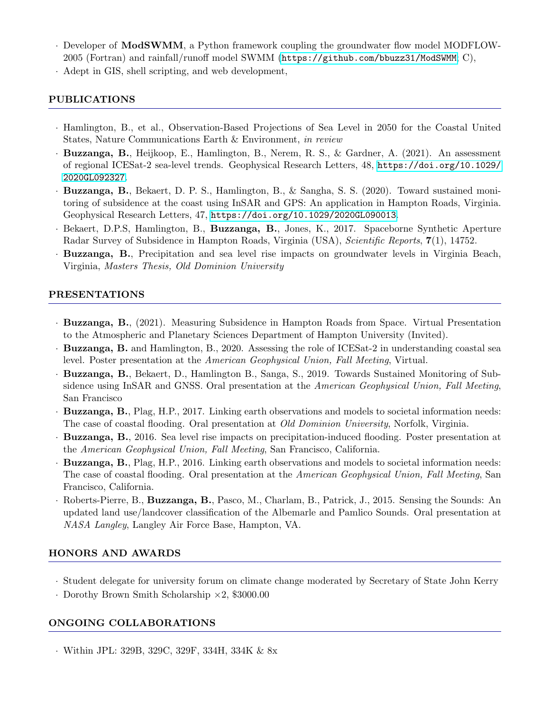- · Developer of ModSWMM, a Python framework coupling the groundwater flow model MODFLOW-2005 (Fortran) and rainfall/runoff model SWMM (<https://github.com/bbuzz31/ModSWMM>; C),
- · Adept in GIS, shell scripting, and web development,

# PUBLICATIONS

- · Hamlington, B., et al., Observation-Based Projections of Sea Level in 2050 for the Coastal United States, Nature Communications Earth & Environment, in review
- · Buzzanga, B., Heijkoop, E., Hamlington, B., Nerem, R. S., & Gardner, A. (2021). An assessment of regional ICESat-2 sea-level trends. Geophysical Research Letters, 48, [https://doi.org/10.1029/](https://doi. org/10.1029/2020GL092327) [2020GL092327](https://doi. org/10.1029/2020GL092327).
- · Buzzanga, B., Bekaert, D. P. S., Hamlington, B., & Sangha, S. S. (2020). Toward sustained monitoring of subsidence at the coast using InSAR and GPS: An application in Hampton Roads, Virginia. Geophysical Research Letters, 47, <https://doi.org/10.1029/2020GL090013>.
- · Bekaert, D.P.S, Hamlington, B., Buzzanga, B., Jones, K., 2017. Spaceborne Synthetic Aperture Radar Survey of Subsidence in Hampton Roads, Virginia (USA), Scientific Reports, 7(1), 14752.
- · Buzzanga, B., Precipitation and sea level rise impacts on groundwater levels in Virginia Beach, Virginia, Masters Thesis, Old Dominion University

# PRESENTATIONS

- · Buzzanga, B., (2021). Measuring Subsidence in Hampton Roads from Space. Virtual Presentation to the Atmospheric and Planetary Sciences Department of Hampton University (Invited).
- · Buzzanga, B. and Hamlington, B., 2020. Assessing the role of ICESat-2 in understanding coastal sea level. Poster presentation at the American Geophysical Union, Fall Meeting, Virtual.
- · Buzzanga, B., Bekaert, D., Hamlington B., Sanga, S., 2019. Towards Sustained Monitoring of Subsidence using InSAR and GNSS. Oral presentation at the American Geophysical Union, Fall Meeting, San Francisco
- · Buzzanga, B., Plag, H.P., 2017. Linking earth observations and models to societal information needs: The case of coastal flooding. Oral presentation at Old Dominion University, Norfolk, Virginia.
- · Buzzanga, B., 2016. Sea level rise impacts on precipitation-induced flooding. Poster presentation at the American Geophysical Union, Fall Meeting, San Francisco, California.
- · Buzzanga, B., Plag, H.P., 2016. Linking earth observations and models to societal information needs: The case of coastal flooding. Oral presentation at the American Geophysical Union, Fall Meeting, San Francisco, California.
- · Roberts-Pierre, B., Buzzanga, B., Pasco, M., Charlam, B., Patrick, J., 2015. Sensing the Sounds: An updated land use/landcover classification of the Albemarle and Pamlico Sounds. Oral presentation at NASA Langley, Langley Air Force Base, Hampton, VA.

# HONORS AND AWARDS

- · Student delegate for university forum on climate change moderated by Secretary of State John Kerry
- · Dorothy Brown Smith Scholarship ×2, \$3000.00

# ONGOING COLLABORATIONS

· Within JPL: 329B, 329C, 329F, 334H, 334K & 8x